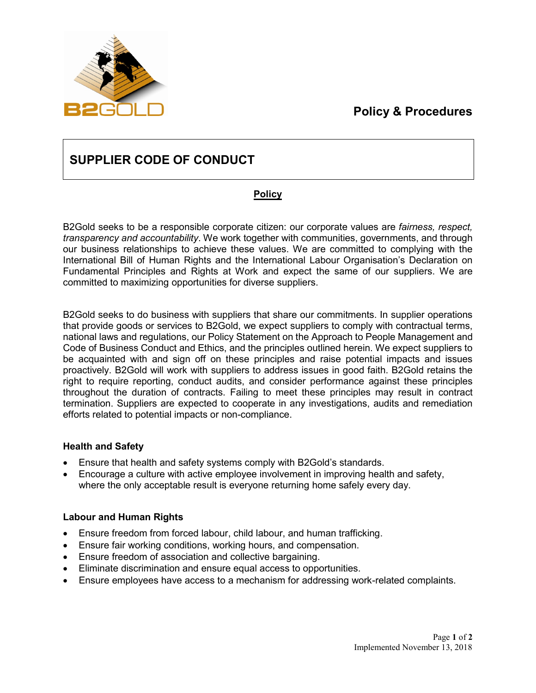### **Policy & Procedures**



### **SUPPLIER CODE OF CONDUCT**

### **Policy**

B2Gold seeks to be a responsible corporate citizen: our corporate values are *fairness, respect, transparency and accountability*. We work together with communities, governments, and through our business relationships to achieve these values. We are committed to complying with the International Bill of Human Rights and the International Labour Organisation's Declaration on Fundamental Principles and Rights at Work and expect the same of our suppliers. We are committed to maximizing opportunities for diverse suppliers.

B2Gold seeks to do business with suppliers that share our commitments. In supplier operations that provide goods or services to B2Gold, we expect suppliers to comply with contractual terms, national laws and regulations, our Policy Statement on the Approach to People Management and Code of Business Conduct and Ethics, and the principles outlined herein. We expect suppliers to be acquainted with and sign off on these principles and raise potential impacts and issues proactively. B2Gold will work with suppliers to address issues in good faith. B2Gold retains the right to require reporting, conduct audits, and consider performance against these principles throughout the duration of contracts. Failing to meet these principles may result in contract termination. Suppliers are expected to cooperate in any investigations, audits and remediation efforts related to potential impacts or non-compliance.

### **Health and Safety**

- Ensure that health and safety systems comply with B2Gold's standards.
- Encourage a culture with active employee involvement in improving health and safety, where the only acceptable result is everyone returning home safely every day.

### **Labour and Human Rights**

- Ensure freedom from forced labour, child labour, and human trafficking.
- Ensure fair working conditions, working hours, and compensation.
- Ensure freedom of association and collective bargaining.
- Eliminate discrimination and ensure equal access to opportunities.
- Ensure employees have access to a mechanism for addressing work-related complaints.